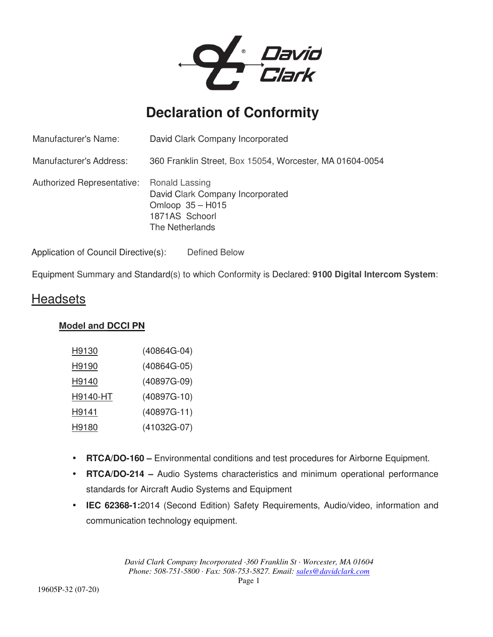

# **Declaration of Conformity**

| Manufacturer's Name:              | David Clark Company Incorporated                                                                            |
|-----------------------------------|-------------------------------------------------------------------------------------------------------------|
| Manufacturer's Address:           | 360 Franklin Street, Box 15054, Worcester, MA 01604-0054                                                    |
| <b>Authorized Representative:</b> | Ronald Lassing<br>David Clark Company Incorporated<br>Omloop 35 - H015<br>1871AS Schoorl<br>The Netherlands |

Application of Council Directive(s): Defined Below

Equipment Summary and Standard(s) to which Conformity is Declared: **9100 Digital Intercom System**:

### **Headsets**

#### **Model and DCCI PN**

| H9130        | $(40864G-04)$ |
|--------------|---------------|
| <u>H9190</u> | (40864G-05)   |
| H9140        | (40897G-09)   |
| H9140-HT     | $(40897G-10)$ |
| H9141        | $(40897G-11)$ |
| <u>H9180</u> | (41032G-07)   |

- **RTCA/DO-160 –** Environmental conditions and test procedures for Airborne Equipment.
- **RTCA/DO-214** Audio Systems characteristics and minimum operational performance standards for Aircraft Audio Systems and Equipment
- **IEC 62368-1:**2014 (Second Edition) Safety Requirements, Audio/video, information and communication technology equipment.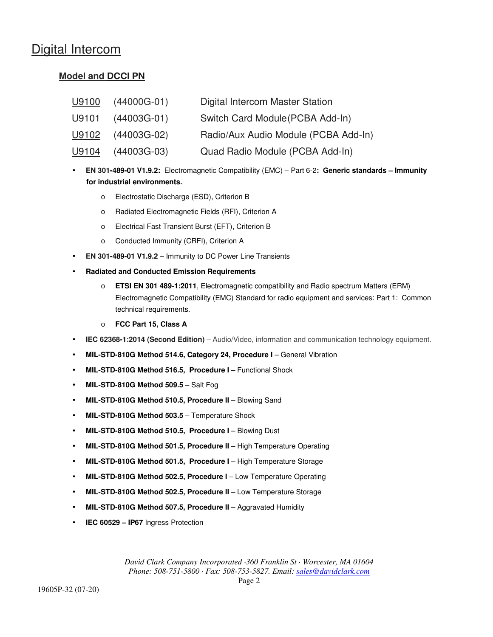### Digital Intercom

#### **Model and DCCI PN**

| U9100        | $(44000G-01)$ | Digital Intercom Master Station      |
|--------------|---------------|--------------------------------------|
| <u>U9101</u> | $(44003G-01)$ | Switch Card Module (PCBA Add-In)     |
| U9102        | $(44003G-02)$ | Radio/Aux Audio Module (PCBA Add-In) |
| <u>U9104</u> | $(44003G-03)$ | Quad Radio Module (PCBA Add-In)      |

- **EN 301-489-01 V1.9.2:** Electromagnetic Compatibility (EMC) Part 6-2**: Generic standards Immunity for industrial environments.**
	- o Electrostatic Discharge (ESD), Criterion B
	- o Radiated Electromagnetic Fields (RFI), Criterion A
	- o Electrical Fast Transient Burst (EFT), Criterion B
	- o Conducted Immunity (CRFI), Criterion A
- **EN 301-489-01 V1.9.2** Immunity to DC Power Line Transients
- **Radiated and Conducted Emission Requirements** 
	- o **ETSI EN 301 489-1:2011**, Electromagnetic compatibility and Radio spectrum Matters (ERM) Electromagnetic Compatibility (EMC) Standard for radio equipment and services: Part 1: Common technical requirements.
	- o **FCC Part 15, Class A**
- **IEC 62368-1:2014 (Second Edition)** Audio/Video, information and communication technology equipment.
- **MIL-STD-810G Method 514.6, Category 24, Procedure I** General Vibration
- **MIL-STD-810G Method 516.5, Procedure I** Functional Shock
- **MIL-STD-810G Method 509.5** Salt Fog
- **MIL-STD-810G Method 510.5, Procedure II** Blowing Sand
- **MIL-STD-810G Method 503.5** Temperature Shock
- **MIL-STD-810G Method 510.5, Procedure I** Blowing Dust
- **MIL-STD-810G Method 501.5, Procedure II** High Temperature Operating
- **MIL-STD-810G Method 501.5, Procedure I** High Temperature Storage
- **MIL-STD-810G Method 502.5, Procedure I** Low Temperature Operating
- **MIL-STD-810G Method 502.5, Procedure II** Low Temperature Storage
- **MIL-STD-810G Method 507.5, Procedure II** Aggravated Humidity
- **IEC 60529 IP67** Ingress Protection

*David Clark Company Incorporated ·360 Franklin St · Worcester, MA 01604 Phone: 508-751-5800 · Fax: 508-753-5827. Email: sales@davidclark.com*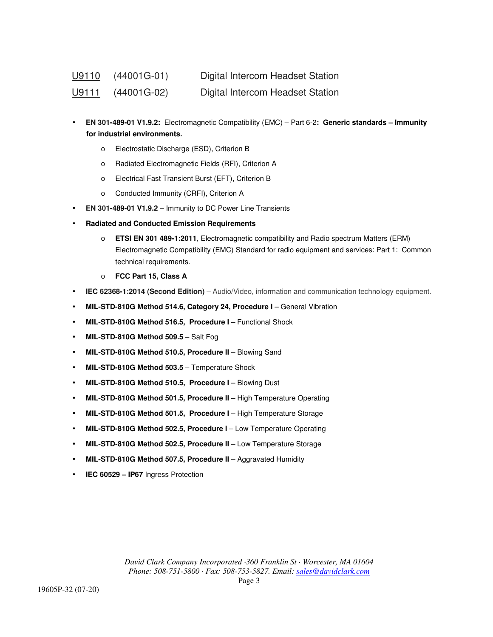| <u> U9110</u> | (44001G-01)                     | Digital Intercom Headset Station |
|---------------|---------------------------------|----------------------------------|
|               | $\underline{U9111}$ (44001G-02) | Digital Intercom Headset Station |

- **EN 301-489-01 V1.9.2:** Electromagnetic Compatibility (EMC) Part 6-2**: Generic standards Immunity for industrial environments.**
	- o Electrostatic Discharge (ESD), Criterion B
	- o Radiated Electromagnetic Fields (RFI), Criterion A
	- o Electrical Fast Transient Burst (EFT), Criterion B
	- o Conducted Immunity (CRFI), Criterion A
- **EN 301-489-01 V1.9.2** Immunity to DC Power Line Transients
- **Radiated and Conducted Emission Requirements** 
	- o **ETSI EN 301 489-1:2011**, Electromagnetic compatibility and Radio spectrum Matters (ERM) Electromagnetic Compatibility (EMC) Standard for radio equipment and services: Part 1: Common technical requirements.
	- o **FCC Part 15, Class A**
- **IEC 62368-1:2014 (Second Edition)** Audio/Video, information and communication technology equipment.
- **MIL-STD-810G Method 514.6, Category 24, Procedure I** General Vibration
- **MIL-STD-810G Method 516.5, Procedure I** Functional Shock
- **MIL-STD-810G Method 509.5** Salt Fog
- **MIL-STD-810G Method 510.5, Procedure II** Blowing Sand
- **MIL-STD-810G Method 503.5** Temperature Shock
- **MIL-STD-810G Method 510.5, Procedure I** Blowing Dust
- **MIL-STD-810G Method 501.5, Procedure II** High Temperature Operating
- **MIL-STD-810G Method 501.5, Procedure I** High Temperature Storage
- **MIL-STD-810G Method 502.5, Procedure I** Low Temperature Operating
- **MIL-STD-810G Method 502.5, Procedure II** Low Temperature Storage
- **MIL-STD-810G Method 507.5, Procedure II** Aggravated Humidity
- **IEC 60529 IP67** Ingress Protection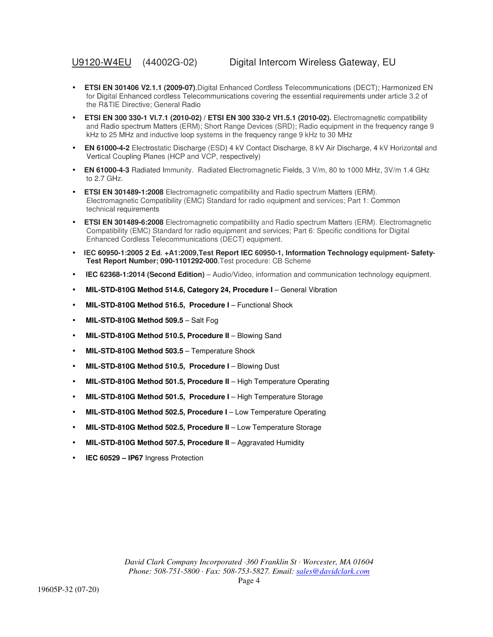- **ETSI EN 301406 V2.1.1 (2009-07)**,Digital Enhanced Cordless Telecommunications (DECT); Harmonized EN for Digital Enhanced cordless Telecommunications covering the essential requirements under article 3.2 of the R&TIE Directive; General Radio
- **ETSI EN 300 330-1 Vl.7.1 (2010-02) / ETSI EN 300 330-2 Vf1.5.1 (2010-02).** Electromagnetic compatibility and Radio spectrum Matters (ERM); Short Range Devices (SRD); Radio equipment in the frequency range 9 kHz to 25 MHz and inductive loop systems in the frequency range 9 kHz to 30 MHz
- **EN 61000-4-2** Electrostatic Discharge (ESD) 4 kV Contact Discharge, 8 kV Air Discharge, 4 kV Horizontal and Vertical Coupling Planes (HCP and VCP, respectively)
- **EN 61000-4-3** Radiated Immunity. Radiated Electromagnetic Fields, 3 V/m, 80 to 1000 MHz, 3V/m 1.4 GHz to 2.7 GHz.
- **ETSI EN 301489-1:2008** Electromagnetic compatibility and Radio spectrum Matters (ERM). Electromagnetic Compatibility (EMC) Standard for radio equipment and services; Part 1: Common technical requirements
- **ETSI EN 301489-6:2008** Electromagnetic compatibility and Radio spectrum Matters (ERM). Electromagnetic Compatibility (EMC) Standard for radio equipment and services; Part 6: Specific conditions for Digital Enhanced Cordless Telecommunications (DECT) equipment.
- **IEC 60950-1:2005 2 Ed. +A1:2009,Test Report IEC 60950-1, Information Technology equipment- Safety-Test Report Number; 090-1101292-000.**Test procedure: CB Scheme
- **IEC 62368-1:2014 (Second Edition)** Audio/Video, information and communication technology equipment.
- **MIL-STD-810G Method 514.6, Category 24, Procedure I** General Vibration
- **MIL-STD-810G Method 516.5, Procedure I** Functional Shock
- **MIL-STD-810G Method 509.5** Salt Fog
- **MIL-STD-810G Method 510.5, Procedure II** Blowing Sand
- **MIL-STD-810G Method 503.5** Temperature Shock
- **MIL-STD-810G Method 510.5, Procedure I** Blowing Dust
- **MIL-STD-810G Method 501.5, Procedure II** High Temperature Operating
- **MIL-STD-810G Method 501.5, Procedure I** High Temperature Storage
- **MIL-STD-810G Method 502.5, Procedure I** Low Temperature Operating
- **MIL-STD-810G Method 502.5, Procedure II** Low Temperature Storage
- **MIL-STD-810G Method 507.5, Procedure II** Aggravated Humidity
- **IEC 60529 IP67** Ingress Protection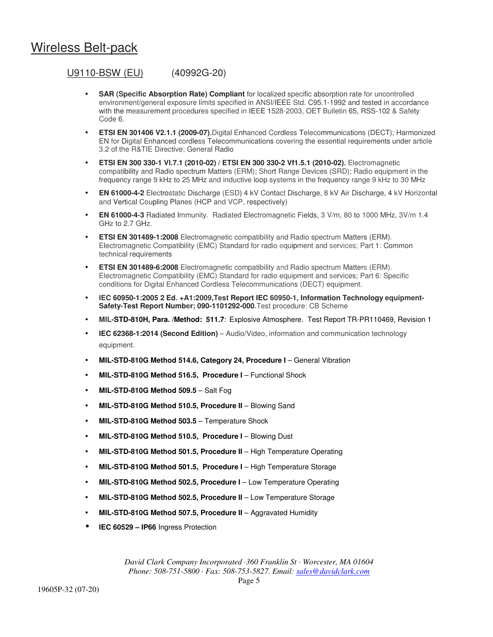### Wireless Belt-pack

#### U9110-BSW (EU) (40992G-20)

- **SAR (Specific Absorption Rate) Compliant** for localized specific absorption rate for uncontrolled environment/general exposure limits specified in ANSI/IEEE Std. C95.1-1992 and tested in accordance with the measurement procedures specified in IEEE 1528-2003, OET Bulletin 65, RSS-102 & Safety Code 6.
- **ETSI EN 301406 V2.1.1 (2009-07)**,Digital Enhanced Cordless Telecommunications (DECT); Harmonized EN for Digital Enhanced cordless Telecommunications covering the essential requirements under article 3.2 of the R&TIE Directive; General Radio
- **ETSI EN 300 330-1 Vl.7.1 (2010-02) / ETSI EN 300 330-2 Vf1.5.1 (2010-02).** Electromagnetic compatibility and Radio spectrum Matters (ERM); Short Range Devices (SRD); Radio equipment in the frequency range 9 kHz to 25 MHz and inductive loop systems in the frequency range 9 kHz to 30 MHz
- **EN 61000-4-2** Electrostatic Discharge (ESD) 4 kV Contact Discharge, 8 kV Air Discharge, 4 kV Horizontal and Vertical Coupling Planes (HCP and VCP, respectively)
- **EN 61000-4-3** Radiated Immunity. Radiated Electromagnetic Fields, 3 V/m, 80 to 1000 MHz, 3V/m 1.4 GHz to 2.7 GHz.
- **ETSI EN 301489-1:2008** Electromagnetic compatibility and Radio spectrum Matters (ERM). Electromagnetic Compatibility (EMC) Standard for radio equipment and services; Part 1: Common technical requirements
- **ETSI EN 301489-6:2008** Electromagnetic compatibility and Radio spectrum Matters (ERM). Electromagnetic Compatibility (EMC) Standard for radio equipment and services; Part 6: Specific conditions for Digital Enhanced Cordless Telecommunications (DECT) equipment.
- **IEC 60950-1:2005 2 Ed. +A1:2009,Test Report IEC 60950-1, Information Technology equipment-Safety-Test Report Number; 090-1101292-000.**Test procedure: CB Scheme
- **MIL-STD-810H, Para. /Method: 511.7**: Explosive Atmosphere. Test Report TR-PR110469, Revision 1
- **IEC 62368-1:2014 (Second Edition)** Audio/Video, information and communication technology equipment.
- **MIL-STD-810G Method 514.6, Category 24, Procedure I** General Vibration
- **MIL-STD-810G Method 516.5, Procedure I** Functional Shock
- **MIL-STD-810G Method 509.5** Salt Fog
- **MIL-STD-810G Method 510.5, Procedure II** Blowing Sand
- **MIL-STD-810G Method 503.5** Temperature Shock
- **MIL-STD-810G Method 510.5, Procedure I** Blowing Dust
- **MIL-STD-810G Method 501.5, Procedure II** High Temperature Operating
- **MIL-STD-810G Method 501.5, Procedure I** High Temperature Storage
- **MIL-STD-810G Method 502.5, Procedure I** Low Temperature Operating
- **MIL-STD-810G Method 502.5, Procedure II** Low Temperature Storage
- **MIL-STD-810G Method 507.5, Procedure II** Aggravated Humidity
- **IEC 60529 IP66** Ingress Protection

*David Clark Company Incorporated ·360 Franklin St · Worcester, MA 01604 Phone: 508-751-5800 · Fax: 508-753-5827. Email: sales@davidclark.com*